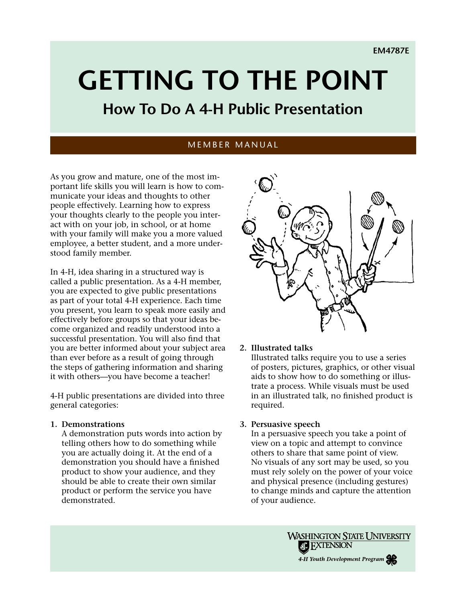# **Getting To The Point**

# **How To Do A 4-H Public Presentation**

### MEMBER MANUAL

As you grow and mature, one of the most important life skills you will learn is how to communicate your ideas and thoughts to other people effectively. Learning how to express your thoughts clearly to the people you interact with on your job, in school, or at home with your family will make you a more valued employee, a better student, and a more understood family member.

In 4-H, idea sharing in a structured way is called a public presentation. As a 4-H member, you are expected to give public presentations as part of your total 4-H experience. Each time you present, you learn to speak more easily and effectively before groups so that your ideas become organized and readily understood into a successful presentation. You will also find that you are better informed about your subject area than ever before as a result of going through the steps of gathering information and sharing it with others—you have become a teacher!

4-H public presentations are divided into three general categories:

#### **1. Demonstrations**

A demonstration puts words into action by telling others how to do something while you are actually doing it. At the end of a demonstration you should have a finished product to show your audience, and they should be able to create their own similar product or perform the service you have demonstrated.



#### **2. Illustrated talks**

Illustrated talks require you to use a series of posters, pictures, graphics, or other visual aids to show how to do something or illustrate a process. While visuals must be used in an illustrated talk, no finished product is required.

#### **3. Persuasive speech**

In a persuasive speech you take a point of view on a topic and attempt to convince others to share that same point of view. No visuals of any sort may be used, so you must rely solely on the power of your voice and physical presence (including gestures) to change minds and capture the attention of your audience.

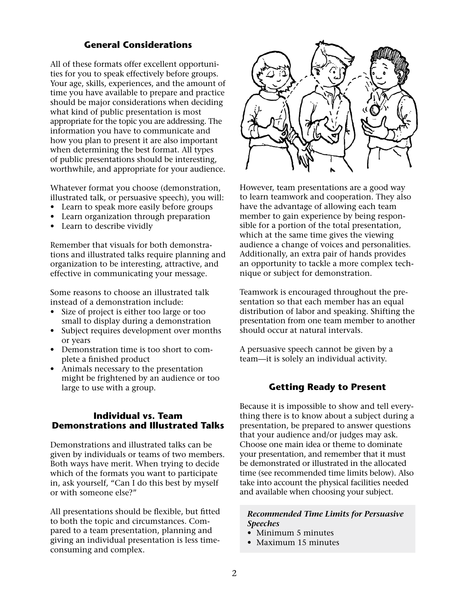#### **General Considerations**

All of these formats offer excellent opportunities for you to speak effectively before groups. Your age, skills, experiences, and the amount of time you have available to prepare and practice should be major considerations when deciding what kind of public presentation is most appropriate for the topic you are addressing. The information you have to communicate and how you plan to present it are also important when determining the best format. All types of public presentations should be interesting, worthwhile, and appropriate for your audience.

Whatever format you choose (demonstration, illustrated talk, or persuasive speech), you will:

- Learn to speak more easily before groups
- Learn organization through preparation
- Learn to describe vividly

Remember that visuals for both demonstrations and illustrated talks require planning and organization to be interesting, attractive, and effective in communicating your message.

Some reasons to choose an illustrated talk instead of a demonstration include:

- Size of project is either too large or too small to display during a demonstration
- Subject requires development over months or years
- Demonstration time is too short to complete a finished product
- Animals necessary to the presentation might be frightened by an audience or too large to use with a group.

#### **Individual vs. Team Demonstrations and Illustrated Talks**

Demonstrations and illustrated talks can be given by individuals or teams of two members. Both ways have merit. When trying to decide which of the formats you want to participate in, ask yourself, "Can I do this best by myself or with someone else?"

All presentations should be flexible, but fitted to both the topic and circumstances. Compared to a team presentation, planning and giving an individual presentation is less timeconsuming and complex.



However, team presentations are a good way to learn teamwork and cooperation. They also have the advantage of allowing each team member to gain experience by being responsible for a portion of the total presentation, which at the same time gives the viewing audience a change of voices and personalities. Additionally, an extra pair of hands provides an opportunity to tackle a more complex technique or subject for demonstration.

Teamwork is encouraged throughout the presentation so that each member has an equal distribution of labor and speaking. Shifting the presentation from one team member to another should occur at natural intervals.

A persuasive speech cannot be given by a team—it is solely an individual activity.

#### **Getting Ready to Present**

Because it is impossible to show and tell everything there is to know about a subject during a presentation, be prepared to answer questions that your audience and/or judges may ask. Choose one main idea or theme to dominate your presentation, and remember that it must be demonstrated or illustrated in the allocated time (see recommended time limits below). Also take into account the physical facilities needed and available when choosing your subject.

#### *Recommended Time Limits for Persuasive Speeches*

- Minimum 5 minutes
- Maximum 15 minutes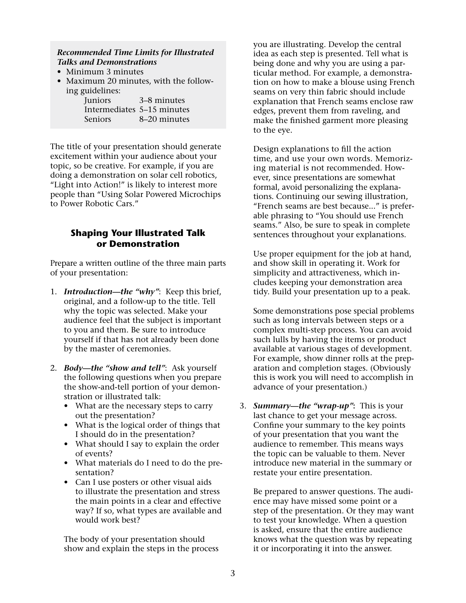#### *Recommended Time Limits for Illustrated Talks and Demonstrations*

- Minimum 3 minutes
- Maximum 20 minutes, with the following guidelines:

| Juniors                    | 3–8 minutes  |
|----------------------------|--------------|
| Intermediates 5–15 minutes |              |
| <b>Seniors</b>             | 8–20 minutes |

The title of your presentation should generate excitement within your audience about your topic, so be creative. For example, if you are doing a demonstration on solar cell robotics, "Light into Action!" is likely to interest more people than "Using Solar Powered Microchips to Power Robotic Cars."

## **Shaping Your Illustrated Talk or Demonstration**

Prepare a written outline of the three main parts of your presentation:

- 1. *Introduction—the "why"*: Keep this brief, original, and a follow-up to the title. Tell why the topic was selected. Make your audience feel that the subject is important to you and them. Be sure to introduce yourself if that has not already been done by the master of ceremonies.
- 2. *Body—the "show and tell"*: Ask yourself the following questions when you prepare the show-and-tell portion of your demonstration or illustrated talk:
	- What are the necessary steps to carry out the presentation?
	- What is the logical order of things that I should do in the presentation?
	- What should I say to explain the order of events?
	- What materials do I need to do the presentation?
	- Can I use posters or other visual aids to illustrate the presentation and stress the main points in a clear and effective way? If so, what types are available and would work best?

The body of your presentation should show and explain the steps in the process

you are illustrating. Develop the central idea as each step is presented. Tell what is being done and why you are using a particular method. For example, a demonstration on how to make a blouse using French seams on very thin fabric should include explanation that French seams enclose raw edges, prevent them from raveling, and make the finished garment more pleasing to the eye.

Design explanations to fill the action time, and use your own words. Memorizing material is not recommended. However, since presentations are somewhat formal, avoid personalizing the explanations. Continuing our sewing illustration, "French seams are best because..." is preferable phrasing to "You should use French seams." Also, be sure to speak in complete sentences throughout your explanations.

Use proper equipment for the job at hand, and show skill in operating it. Work for simplicity and attractiveness, which includes keeping your demonstration area tidy. Build your presentation up to a peak.

Some demonstrations pose special problems such as long intervals between steps or a complex multi-step process. You can avoid such lulls by having the items or product available at various stages of development. For example, show dinner rolls at the preparation and completion stages. (Obviously this is work you will need to accomplish in advance of your presentation.)

3. *Summary—the "wrap-up"***:** This is your last chance to get your message across. Confine your summary to the key points of your presentation that you want the audience to remember. This means ways the topic can be valuable to them. Never introduce new material in the summary or restate your entire presentation.

Be prepared to answer questions. The audience may have missed some point or a step of the presentation. Or they may want to test your knowledge. When a question is asked, ensure that the entire audience knows what the question was by repeating it or incorporating it into the answer.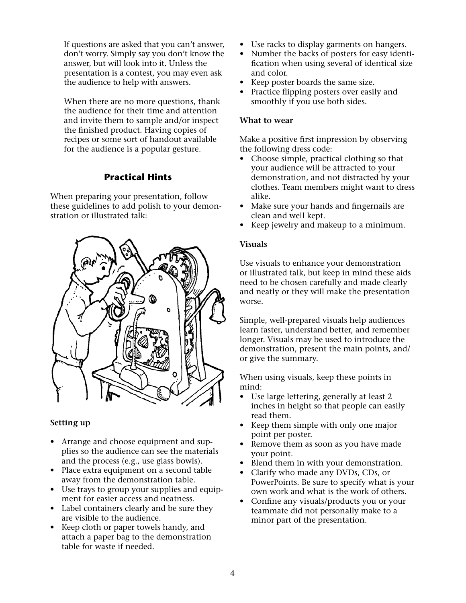If questions are asked that you can't answer, don't worry. Simply say you don't know the answer, but will look into it. Unless the presentation is a contest, you may even ask the audience to help with answers.

When there are no more questions, thank the audience for their time and attention and invite them to sample and/or inspect the finished product. Having copies of recipes or some sort of handout available for the audience is a popular gesture.

# **Practical Hints**

When preparing your presentation, follow these guidelines to add polish to your demonstration or illustrated talk:



#### **Setting up**

- Arrange and choose equipment and supplies so the audience can see the materials and the process (e.g., use glass bowls).
- Place extra equipment on a second table away from the demonstration table.
- Use trays to group your supplies and equipment for easier access and neatness.
- Label containers clearly and be sure they are visible to the audience.
- Keep cloth or paper towels handy, and attach a paper bag to the demonstration table for waste if needed.
- Use racks to display garments on hangers.
- Number the backs of posters for easy identification when using several of identical size and color.
- Keep poster boards the same size.
- Practice flipping posters over easily and smoothly if you use both sides.

#### **What to wear**

Make a positive first impression by observing the following dress code:

- Choose simple, practical clothing so that your audience will be attracted to your demonstration, and not distracted by your clothes. Team members might want to dress alike.
- Make sure your hands and fingernails are clean and well kept.
- Keep jewelry and makeup to a minimum.

#### **Visuals**

Use visuals to enhance your demonstration or illustrated talk, but keep in mind these aids need to be chosen carefully and made clearly and neatly or they will make the presentation worse.

Simple, well-prepared visuals help audiences learn faster, understand better, and remember longer. Visuals may be used to introduce the demonstration, present the main points, and/ or give the summary.

When using visuals, keep these points in mind:

- Use large lettering, generally at least 2 inches in height so that people can easily read them.
- Keep them simple with only one major point per poster.
- Remove them as soon as you have made your point.
- Blend them in with your demonstration.
- Clarify who made any DVDs, CDs, or PowerPoints. Be sure to specify what is your own work and what is the work of others.
- Confine any visuals/products you or your teammate did not personally make to a minor part of the presentation.